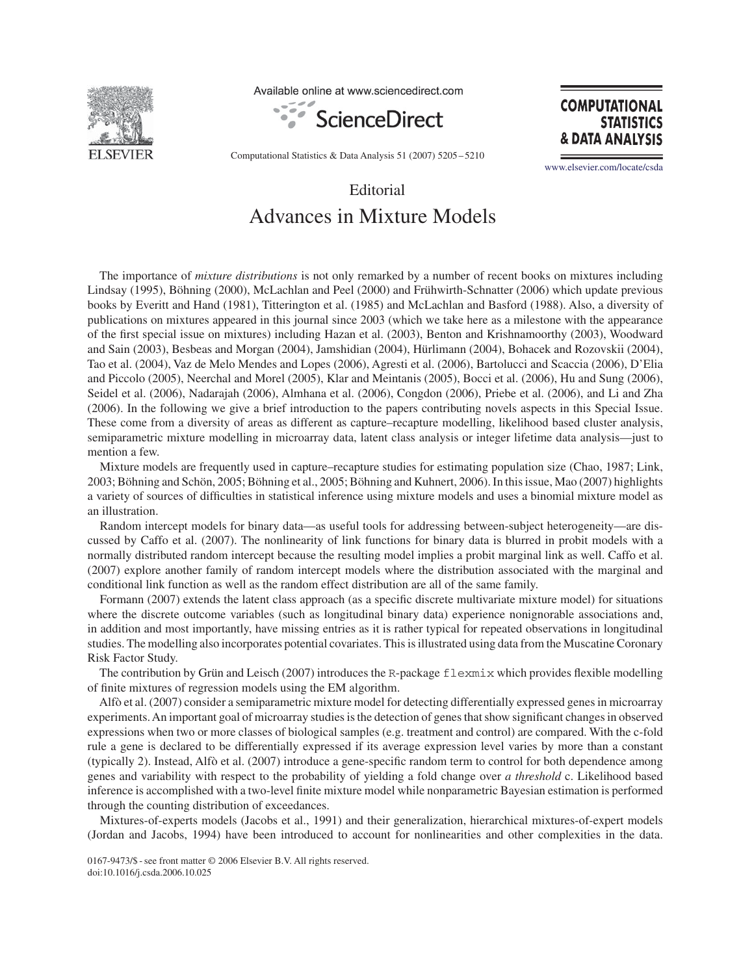

Available online at www.sciencedirect.com





Computational Statistics & Data Analysis 51 (2007) 5205 – 5210

www.elsevier.com/locate/csda

## Editorial Advances in Mixture Models

The importance of *mixture distributions* is not only remarked by a number of recent books on mixtures including Lindsay (1995), Böhning (2000), McLachlan and Peel (2000) and Frühwirth-Schnatter (2006) which update previous books by Everitt and Hand (1981), Titterington et al. (1985) and McLachlan and Basford (1988). Also, a diversity of publications on mixtures appeared in this journal since 2003 (which we take here as a milestone with the appearance of the first special issue on mixtures) including Hazan et al. (2003), Benton and Krishnamoorthy (2003), Woodward and Sain (2003), Besbeas and Morgan (2004), Jamshidian (2004), Hürlimann (2004), Bohacek and Rozovskii (2004), Tao et al. (2004), Vaz de Melo Mendes and Lopes (2006), Agresti et al. (2006), Bartolucci and Scaccia (2006), D'Elia and Piccolo (2005), Neerchal and Morel (2005), Klar and Meintanis (2005), Bocci et al. (2006), Hu and Sung (2006), Seidel et al. (2006), Nadarajah (2006), Almhana et al. (2006), Congdon (2006), Priebe et al. (2006), and Li and Zha (2006). In the following we give a brief introduction to the papers contributing novels aspects in this Special Issue. These come from a diversity of areas as different as capture–recapture modelling, likelihood based cluster analysis, semiparametric mixture modelling in microarray data, latent class analysis or integer lifetime data analysis—just to mention a few.

Mixture models are frequently used in capture–recapture studies for estimating population size (Chao, 1987; Link, 2003; Böhning and Schön, 2005; Böhning et al., 2005; Böhning and Kuhnert, 2006). In this issue, Mao (2007) highlights a variety of sources of difficulties in statistical inference using mixture models and uses a binomial mixture model as an illustration.

Random intercept models for binary data—as useful tools for addressing between-subject heterogeneity—are discussed by Caffo et al. (2007). The nonlinearity of link functions for binary data is blurred in probit models with a normally distributed random intercept because the resulting model implies a probit marginal link as well. Caffo et al. (2007) explore another family of random intercept models where the distribution associated with the marginal and conditional link function as well as the random effect distribution are all of the same family.

Formann (2007) extends the latent class approach (as a specific discrete multivariate mixture model) for situations where the discrete outcome variables (such as longitudinal binary data) experience nonignorable associations and, in addition and most importantly, have missing entries as it is rather typical for repeated observations in longitudinal studies. The modelling also incorporates potential covariates. This is illustrated using data from the Muscatine Coronary Risk Factor Study.

The contribution by Grün and Leisch (2007) introduces the R-package flexmix which provides flexible modelling of finite mixtures of regression models using the EM algorithm.

Alfò et al. (2007) consider a semiparametric mixture model for detecting differentially expressed genes in microarray experiments. An important goal of microarray studies is the detection of genes that show significant changes in observed expressions when two or more classes of biological samples (e.g. treatment and control) are compared. With the c-fold rule a gene is declared to be differentially expressed if its average expression level varies by more than a constant (typically 2). Instead, Alfò et al. (2007) introduce a gene-specific random term to control for both dependence among genes and variability with respect to the probability of yielding a fold change over *a threshold* c. Likelihood based inference is accomplished with a two-level finite mixture model while nonparametric Bayesian estimation is performed through the counting distribution of exceedances.

Mixtures-of-experts models (Jacobs et al., 1991) and their generalization, hierarchical mixtures-of-expert models (Jordan and Jacobs, 1994) have been introduced to account for nonlinearities and other complexities in the data.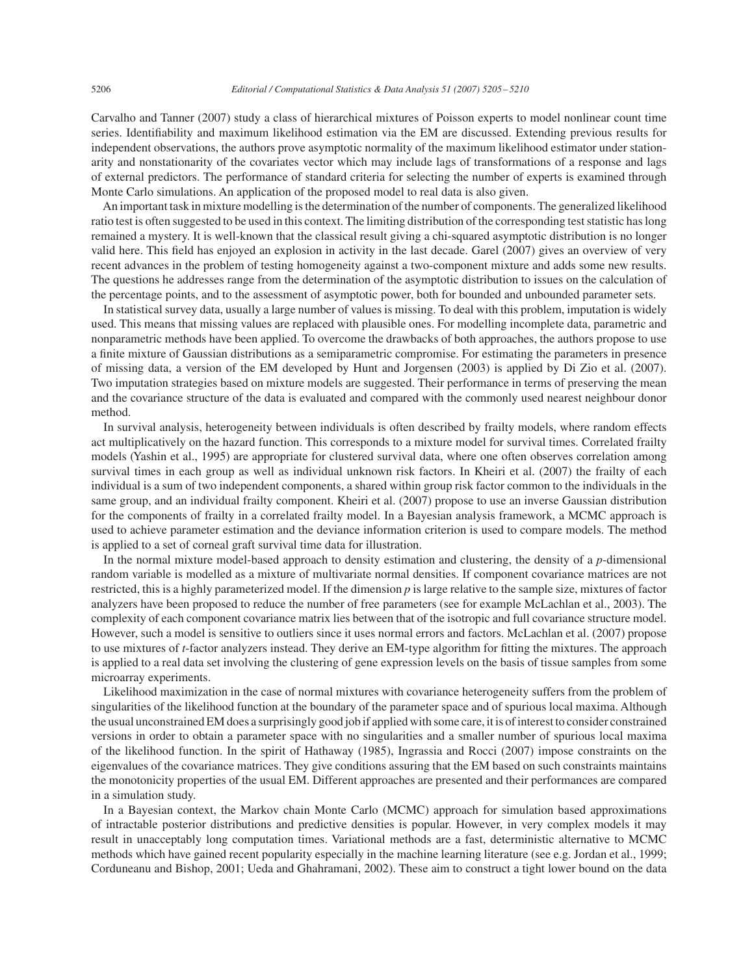Carvalho and Tanner (2007) study a class of hierarchical mixtures of Poisson experts to model nonlinear count time series. Identifiability and maximum likelihood estimation via the EM are discussed. Extending previous results for independent observations, the authors prove asymptotic normality of the maximum likelihood estimator under stationarity and nonstationarity of the covariates vector which may include lags of transformations of a response and lags of external predictors. The performance of standard criteria for selecting the number of experts is examined through Monte Carlo simulations. An application of the proposed model to real data is also given.

An important task in mixture modelling is the determination of the number of components. The generalized likelihood ratio test is often suggested to be used in this context. The limiting distribution of the corresponding test statistic has long remained a mystery. It is well-known that the classical result giving a chi-squared asymptotic distribution is no longer valid here. This field has enjoyed an explosion in activity in the last decade. Garel (2007) gives an overview of very recent advances in the problem of testing homogeneity against a two-component mixture and adds some new results. The questions he addresses range from the determination of the asymptotic distribution to issues on the calculation of the percentage points, and to the assessment of asymptotic power, both for bounded and unbounded parameter sets.

In statistical survey data, usually a large number of values is missing. To deal with this problem, imputation is widely used. This means that missing values are replaced with plausible ones. For modelling incomplete data, parametric and nonparametric methods have been applied. To overcome the drawbacks of both approaches, the authors propose to use a finite mixture of Gaussian distributions as a semiparametric compromise. For estimating the parameters in presence of missing data, a version of the EM developed by Hunt and Jorgensen (2003) is applied by Di Zio et al. (2007). Two imputation strategies based on mixture models are suggested. Their performance in terms of preserving the mean and the covariance structure of the data is evaluated and compared with the commonly used nearest neighbour donor method.

In survival analysis, heterogeneity between individuals is often described by frailty models, where random effects act multiplicatively on the hazard function. This corresponds to a mixture model for survival times. Correlated frailty models (Yashin et al., 1995) are appropriate for clustered survival data, where one often observes correlation among survival times in each group as well as individual unknown risk factors. In Kheiri et al. (2007) the frailty of each individual is a sum of two independent components, a shared within group risk factor common to the individuals in the same group, and an individual frailty component. Kheiri et al. (2007) propose to use an inverse Gaussian distribution for the components of frailty in a correlated frailty model. In a Bayesian analysis framework, a MCMC approach is used to achieve parameter estimation and the deviance information criterion is used to compare models. The method is applied to a set of corneal graft survival time data for illustration.

In the normal mixture model-based approach to density estimation and clustering, the density of a *p*-dimensional random variable is modelled as a mixture of multivariate normal densities. If component covariance matrices are not restricted, this is a highly parameterized model. If the dimension *p* is large relative to the sample size, mixtures of factor analyzers have been proposed to reduce the number of free parameters (see for example McLachlan et al., 2003). The complexity of each component covariance matrix lies between that of the isotropic and full covariance structure model. However, such a model is sensitive to outliers since it uses normal errors and factors. McLachlan et al. (2007) propose to use mixtures of *t*-factor analyzers instead. They derive an EM-type algorithm for fitting the mixtures. The approach is applied to a real data set involving the clustering of gene expression levels on the basis of tissue samples from some microarray experiments.

Likelihood maximization in the case of normal mixtures with covariance heterogeneity suffers from the problem of singularities of the likelihood function at the boundary of the parameter space and of spurious local maxima. Although the usual unconstrained EM does a surprisingly good job if applied with some care, it is of interest to consider constrained versions in order to obtain a parameter space with no singularities and a smaller number of spurious local maxima of the likelihood function. In the spirit of Hathaway (1985), Ingrassia and Rocci (2007) impose constraints on the eigenvalues of the covariance matrices. They give conditions assuring that the EM based on such constraints maintains the monotonicity properties of the usual EM. Different approaches are presented and their performances are compared in a simulation study.

In a Bayesian context, the Markov chain Monte Carlo (MCMC) approach for simulation based approximations of intractable posterior distributions and predictive densities is popular. However, in very complex models it may result in unacceptably long computation times. Variational methods are a fast, deterministic alternative to MCMC methods which have gained recent popularity especially in the machine learning literature (see e.g. Jordan et al., 1999; Corduneanu and Bishop, 2001; Ueda and Ghahramani, 2002). These aim to construct a tight lower bound on the data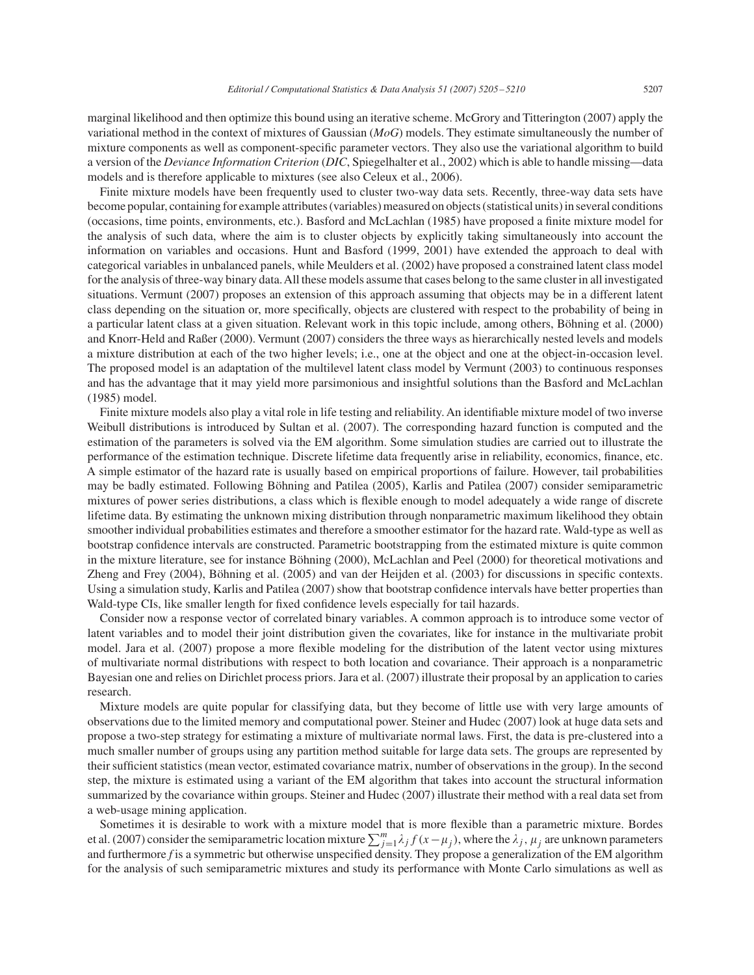marginal likelihood and then optimize this bound using an iterative scheme. McGrory and Titterington (2007) apply the variational method in the context of mixtures of Gaussian (*MoG*) models. They estimate simultaneously the number of mixture components as well as component-specific parameter vectors. They also use the variational algorithm to build a version of the *Deviance Information Criterion* (*DIC*, Spiegelhalter et al., 2002) which is able to handle missing—data models and is therefore applicable to mixtures (see also Celeux et al., 2006).

Finite mixture models have been frequently used to cluster two-way data sets. Recently, three-way data sets have become popular, containing for example attributes (variables) measured on objects (statistical units) in several conditions (occasions, time points, environments, etc.). Basford and McLachlan (1985) have proposed a finite mixture model for the analysis of such data, where the aim is to cluster objects by explicitly taking simultaneously into account the information on variables and occasions. Hunt and Basford (1999, 2001) have extended the approach to deal with categorical variables in unbalanced panels, while Meulders et al. (2002) have proposed a constrained latent class model for the analysis of three-way binary data.All these models assume that cases belong to the same cluster in all investigated situations. Vermunt (2007) proposes an extension of this approach assuming that objects may be in a different latent class depending on the situation or, more specifically, objects are clustered with respect to the probability of being in a particular latent class at a given situation. Relevant work in this topic include, among others, Böhning et al. (2000) and Knorr-Held and Raßer (2000). Vermunt (2007) considers the three ways as hierarchically nested levels and models a mixture distribution at each of the two higher levels; i.e., one at the object and one at the object-in-occasion level. The proposed model is an adaptation of the multilevel latent class model by Vermunt (2003) to continuous responses and has the advantage that it may yield more parsimonious and insightful solutions than the Basford and McLachlan (1985) model.

Finite mixture models also play a vital role in life testing and reliability. An identifiable mixture model of two inverse Weibull distributions is introduced by Sultan et al. (2007). The corresponding hazard function is computed and the estimation of the parameters is solved via the EM algorithm. Some simulation studies are carried out to illustrate the performance of the estimation technique. Discrete lifetime data frequently arise in reliability, economics, finance, etc. A simple estimator of the hazard rate is usually based on empirical proportions of failure. However, tail probabilities may be badly estimated. Following Böhning and Patilea (2005), Karlis and Patilea (2007) consider semiparametric mixtures of power series distributions, a class which is flexible enough to model adequately a wide range of discrete lifetime data. By estimating the unknown mixing distribution through nonparametric maximum likelihood they obtain smoother individual probabilities estimates and therefore a smoother estimator for the hazard rate. Wald-type as well as bootstrap confidence intervals are constructed. Parametric bootstrapping from the estimated mixture is quite common in the mixture literature, see for instance Böhning (2000), McLachlan and Peel (2000) for theoretical motivations and Zheng and Frey (2004), Böhning et al. (2005) and van der Heijden et al. (2003) for discussions in specific contexts. Using a simulation study, Karlis and Patilea (2007) show that bootstrap confidence intervals have better properties than Wald-type CIs, like smaller length for fixed confidence levels especially for tail hazards.

Consider now a response vector of correlated binary variables. A common approach is to introduce some vector of latent variables and to model their joint distribution given the covariates, like for instance in the multivariate probit model. Jara et al. (2007) propose a more flexible modeling for the distribution of the latent vector using mixtures of multivariate normal distributions with respect to both location and covariance. Their approach is a nonparametric Bayesian one and relies on Dirichlet process priors. Jara et al. (2007) illustrate their proposal by an application to caries research.

Mixture models are quite popular for classifying data, but they become of little use with very large amounts of observations due to the limited memory and computational power. Steiner and Hudec (2007) look at huge data sets and propose a two-step strategy for estimating a mixture of multivariate normal laws. First, the data is pre-clustered into a much smaller number of groups using any partition method suitable for large data sets. The groups are represented by their sufficient statistics (mean vector, estimated covariance matrix, number of observations in the group). In the second step, the mixture is estimated using a variant of the EM algorithm that takes into account the structural information summarized by the covariance within groups. Steiner and Hudec (2007) illustrate their method with a real data set from a web-usage mining application.

Sometimes it is desirable to work with a mixture model that is more flexible than a parametric mixture. Bordes et al. (2007) consider the semiparametric location mixture  $\sum_{j=1}^{m} \lambda_j f(x - \mu_j)$ , where the  $\lambda_j$ ,  $\mu_j$  are unknown parameters and furthermore *f* is a symmetric but otherwise unspecified density. They propose a generalization of the EM algorithm for the analysis of such semiparametric mixtures and study its performance with Monte Carlo simulations as well as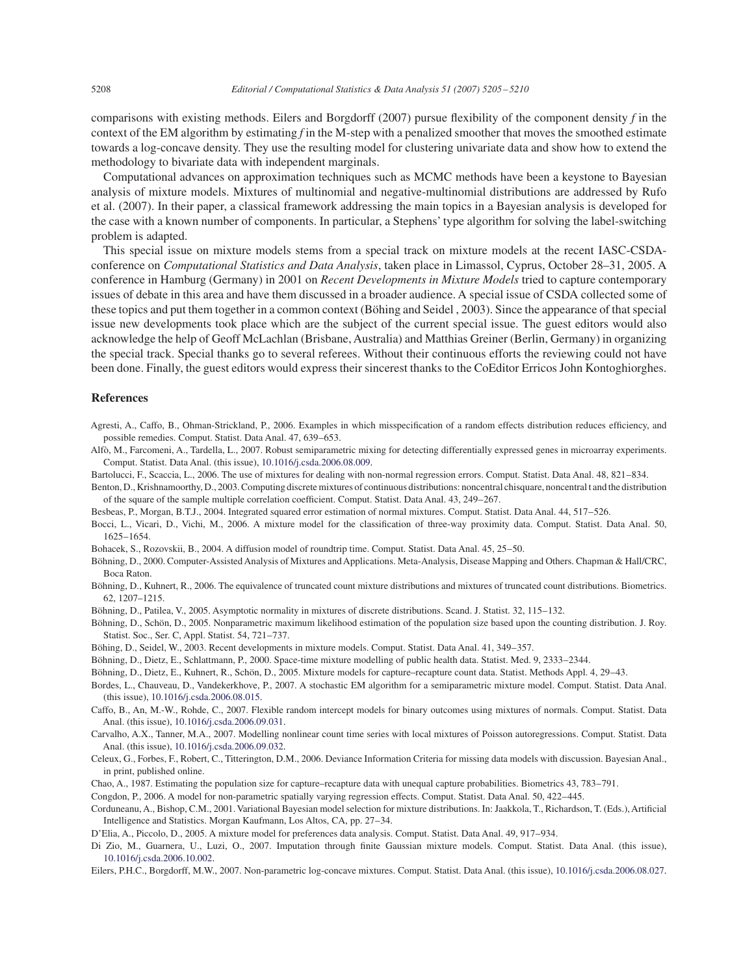comparisons with existing methods. Eilers and Borgdorff (2007) pursue flexibility of the component density *f* in the context of the EM algorithm by estimating *f* in the M-step with a penalized smoother that moves the smoothed estimate towards a log-concave density. They use the resulting model for clustering univariate data and show how to extend the methodology to bivariate data with independent marginals.

Computational advances on approximation techniques such as MCMC methods have been a keystone to Bayesian analysis of mixture models. Mixtures of multinomial and negative-multinomial distributions are addressed by Rufo et al. (2007). In their paper, a classical framework addressing the main topics in a Bayesian analysis is developed for the case with a known number of components. In particular, a Stephens' type algorithm for solving the label-switching problem is adapted.

This special issue on mixture models stems from a special track on mixture models at the recent IASC-CSDAconference on *Computational Statistics and Data Analysis*, taken place in Limassol, Cyprus, October 28–31, 2005. A conference in Hamburg (Germany) in 2001 on *Recent Developments in Mixture Models* tried to capture contemporary issues of debate in this area and have them discussed in a broader audience. A special issue of CSDA collected some of these topics and put them together in a common context (Böhing and Seidel , 2003). Since the appearance of that special issue new developments took place which are the subject of the current special issue. The guest editors would also acknowledge the help of Geoff McLachlan (Brisbane, Australia) and Matthias Greiner (Berlin, Germany) in organizing the special track. Special thanks go to several referees. Without their continuous efforts the reviewing could not have been done. Finally, the guest editors would express their sincerest thanks to the CoEditor Erricos John Kontoghiorghes.

## **References**

- Agresti, A., Caffo, B., Ohman-Strickland, P., 2006. Examples in which misspecification of a random effects distribution reduces efficiency, and possible remedies. Comput. Statist. Data Anal. 47, 639–653.
- Alfò, M., Farcomeni, A., Tardella, L., 2007. Robust semiparametric mixing for detecting differentially expressed genes in microarray experiments. Comput. Statist. Data Anal. (this issue), 10.1016/j.csda.2006.08.009.
- Bartolucci, F., Scaccia, L., 2006. The use of mixtures for dealing with non-normal regression errors. Comput. Statist. Data Anal. 48, 821–834.
- Benton, D., Krishnamoorthy, D., 2003. Computing discrete mixtures of continuous distributions: noncentral chisquare, noncentral t and the distribution of the square of the sample multiple correlation coefficient. Comput. Statist. Data Anal. 43, 249–267.
- Besbeas, P., Morgan, B.T.J., 2004. Integrated squared error estimation of normal mixtures. Comput. Statist. Data Anal. 44, 517–526.
- Bocci, L., Vicari, D., Vichi, M., 2006. A mixture model for the classification of three-way proximity data. Comput. Statist. Data Anal. 50, 1625–1654.
- Bohacek, S., Rozovskii, B., 2004. A diffusion model of roundtrip time. Comput. Statist. Data Anal. 45, 25–50.
- Böhning, D., 2000. Computer-Assisted Analysis of Mixtures and Applications. Meta-Analysis, Disease Mapping and Others. Chapman & Hall/CRC, Boca Raton.
- Böhning, D., Kuhnert, R., 2006. The equivalence of truncated count mixture distributions and mixtures of truncated count distributions. Biometrics. 62, 1207–1215.
- Böhning, D., Patilea, V., 2005. Asymptotic normality in mixtures of discrete distributions. Scand. J. Statist. 32, 115–132.
- Böhning, D., Schön, D., 2005. Nonparametric maximum likelihood estimation of the population size based upon the counting distribution. J. Roy. Statist. Soc., Ser. C, Appl. Statist. 54, 721–737.
- Böhing, D., Seidel, W., 2003. Recent developments in mixture models. Comput. Statist. Data Anal. 41, 349–357.
- Böhning, D., Dietz, E., Schlattmann, P., 2000. Space-time mixture modelling of public health data. Statist. Med. 9, 2333–2344.
- Böhning, D., Dietz, E., Kuhnert, R., Schön, D., 2005. Mixture models for capture–recapture count data. Statist. Methods Appl. 4, 29–43.
- Bordes, L., Chauveau, D., Vandekerkhove, P., 2007. A stochastic EM algorithm for a semiparametric mixture model. Comput. Statist. Data Anal. (this issue), 10.1016/j.csda.2006.08.015.
- Caffo, B., An, M.-W., Rohde, C., 2007. Flexible random intercept models for binary outcomes using mixtures of normals. Comput. Statist. Data Anal. (this issue), 10.1016/j.csda.2006.09.031.
- Carvalho, A.X., Tanner, M.A., 2007. Modelling nonlinear count time series with local mixtures of Poisson autoregressions. Comput. Statist. Data Anal. (this issue), 10.1016/j.csda.2006.09.032.
- Celeux, G., Forbes, F., Robert, C., Titterington, D.M., 2006. Deviance Information Criteria for missing data models with discussion. Bayesian Anal., in print, published online.
- Chao, A., 1987. Estimating the population size for capture–recapture data with unequal capture probabilities. Biometrics 43, 783–791.
- Congdon, P., 2006. A model for non-parametric spatially varying regression effects. Comput. Statist. Data Anal. 50, 422–445.
- Corduneanu, A., Bishop, C.M., 2001. Variational Bayesian model selection for mixture distributions. In: Jaakkola, T., Richardson, T. (Eds.), Artificial Intelligence and Statistics. Morgan Kaufmann, Los Altos, CA, pp. 27–34.
- D'Elia, A., Piccolo, D., 2005. A mixture model for preferences data analysis. Comput. Statist. Data Anal. 49, 917–934.
- Di Zio, M., Guarnera, U., Luzi, O., 2007. Imputation through finite Gaussian mixture models. Comput. Statist. Data Anal. (this issue), 10.1016/j.csda.2006.10.002.
- Eilers, P.H.C., Borgdorff, M.W., 2007. Non-parametric log-concave mixtures. Comput. Statist. Data Anal. (this issue), 10.1016/j.csda.2006.08.027.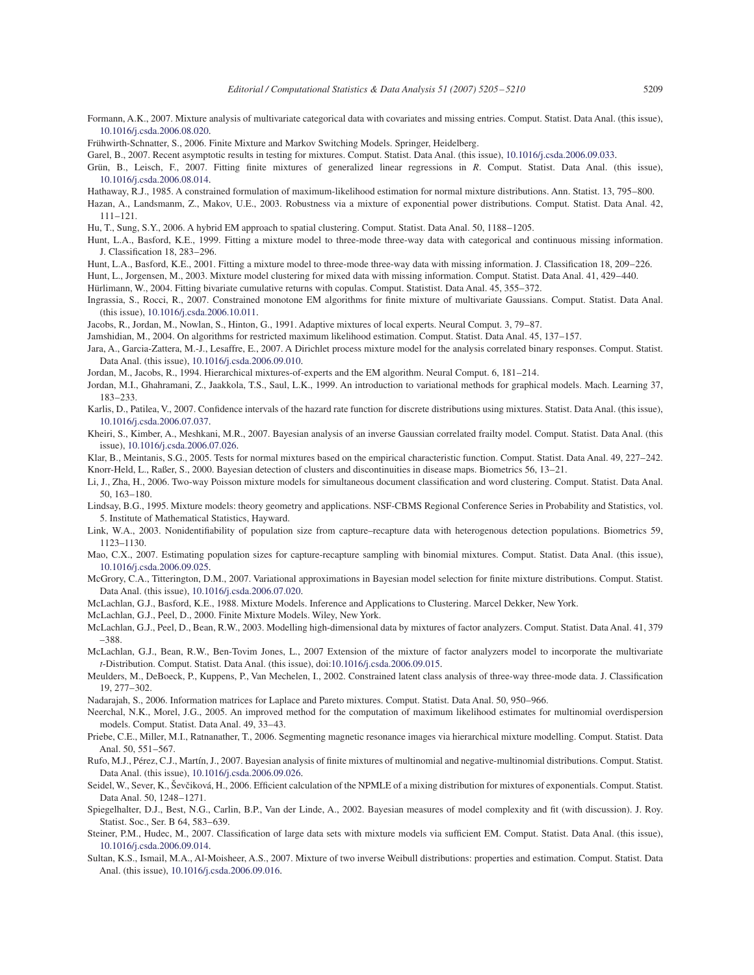- Formann, A.K., 2007. Mixture analysis of multivariate categorical data with covariates and missing entries. Comput. Statist. Data Anal. (this issue), 10.1016/j.csda.2006.08.020.
- Frühwirth-Schnatter, S., 2006. Finite Mixture and Markov Switching Models. Springer, Heidelberg.
- Garel, B., 2007. Recent asymptotic results in testing for mixtures. Comput. Statist. Data Anal. (this issue), 10.1016/j.csda.2006.09.033.
- Grün, B., Leisch, F., 2007. Fitting finite mixtures of generalized linear regressions in *R*. Comput. Statist. Data Anal. (this issue), 10.1016/j.csda.2006.08.014.
- Hathaway, R.J., 1985. A constrained formulation of maximum-likelihood estimation for normal mixture distributions. Ann. Statist. 13, 795–800.
- Hazan, A., Landsmanm, Z., Makov, U.E., 2003. Robustness via a mixture of exponential power distributions. Comput. Statist. Data Anal. 42, 111–121.
- Hu, T., Sung, S.Y., 2006. A hybrid EM approach to spatial clustering. Comput. Statist. Data Anal. 50, 1188–1205.
- Hunt, L.A., Basford, K.E., 1999. Fitting a mixture model to three-mode three-way data with categorical and continuous missing information. J. Classification 18, 283–296.
- Hunt, L.A., Basford, K.E., 2001. Fitting a mixture model to three-mode three-way data with missing information. J. Classification 18, 209–226.
- Hunt, L., Jorgensen, M., 2003. Mixture model clustering for mixed data with missing information. Comput. Statist. Data Anal. 41, 429–440.

Hürlimann, W., 2004. Fitting bivariate cumulative returns with copulas. Comput. Statistist. Data Anal. 45, 355–372.

- Ingrassia, S., Rocci, R., 2007. Constrained monotone EM algorithms for finite mixture of multivariate Gaussians. Comput. Statist. Data Anal. (this issue), 10.1016/j.csda.2006.10.011.
- Jacobs, R., Jordan, M., Nowlan, S., Hinton, G., 1991. Adaptive mixtures of local experts. Neural Comput. 3, 79–87.
- Jamshidian, M., 2004. On algorithms for restricted maximum likelihood estimation. Comput. Statist. Data Anal. 45, 137–157.
- Jara, A., Garcia-Zattera, M.-J., Lesaffre, E., 2007. A Dirichlet process mixture model for the analysis correlated binary responses. Comput. Statist. Data Anal. (this issue), 10.1016/j.csda.2006.09.010.
- Jordan, M., Jacobs, R., 1994. Hierarchical mixtures-of-experts and the EM algorithm. Neural Comput. 6, 181–214.
- Jordan, M.I., Ghahramani, Z., Jaakkola, T.S., Saul, L.K., 1999. An introduction to variational methods for graphical models. Mach. Learning 37, 183–233.
- Karlis, D., Patilea, V., 2007. Confidence intervals of the hazard rate function for discrete distributions using mixtures. Statist. Data Anal. (this issue), 10.1016/j.csda.2006.07.037.
- Kheiri, S., Kimber, A., Meshkani, M.R., 2007. Bayesian analysis of an inverse Gaussian correlated frailty model. Comput. Statist. Data Anal. (this issue), 10.1016/j.csda.2006.07.026.
- Klar, B., Meintanis, S.G., 2005. Tests for normal mixtures based on the empirical characteristic function. Comput. Statist. Data Anal. 49, 227–242.

Knorr-Held, L., Raßer, S., 2000. Bayesian detection of clusters and discontinuities in disease maps. Biometrics 56, 13–21.

- Li, J., Zha, H., 2006. Two-way Poisson mixture models for simultaneous document classification and word clustering. Comput. Statist. Data Anal. 50, 163–180.
- Lindsay, B.G., 1995. Mixture models: theory geometry and applications. NSF-CBMS Regional Conference Series in Probability and Statistics, vol. 5. Institute of Mathematical Statistics, Hayward.
- Link, W.A., 2003. Nonidentifiability of population size from capture–recapture data with heterogenous detection populations. Biometrics 59, 1123–1130.
- Mao, C.X., 2007. Estimating population sizes for capture-recapture sampling with binomial mixtures. Comput. Statist. Data Anal. (this issue), 10.1016/j.csda.2006.09.025.
- McGrory, C.A., Titterington, D.M., 2007. Variational approximations in Bayesian model selection for finite mixture distributions. Comput. Statist. Data Anal. (this issue), 10.1016/j.csda.2006.07.020.
- McLachlan, G.J., Basford, K.E., 1988. Mixture Models. Inference and Applications to Clustering. Marcel Dekker, New York.
- McLachlan, G.J., Peel, D., 2000. Finite Mixture Models. Wiley, New York.
- McLachlan, G.J., Peel, D., Bean, R.W., 2003. Modelling high-dimensional data by mixtures of factor analyzers. Comput. Statist. Data Anal. 41, 379 –388.
- McLachlan, G.J., Bean, R.W., Ben-Tovim Jones, L., 2007 Extension of the mixture of factor analyzers model to incorporate the multivariate *t*-Distribution. Comput. Statist. Data Anal. (this issue), doi:10.1016/j.csda.2006.09.015.
- Meulders, M., DeBoeck, P., Kuppens, P., Van Mechelen, I., 2002. Constrained latent class analysis of three-way three-mode data. J. Classification 19, 277–302.
- Nadarajah, S., 2006. Information matrices for Laplace and Pareto mixtures. Comput. Statist. Data Anal. 50, 950–966.
- Neerchal, N.K., Morel, J.G., 2005. An improved method for the computation of maximum likelihood estimates for multinomial overdispersion models. Comput. Statist. Data Anal. 49, 33–43.
- Priebe, C.E., Miller, M.I., Ratnanather, T., 2006. Segmenting magnetic resonance images via hierarchical mixture modelling. Comput. Statist. Data Anal. 50, 551–567.
- Rufo, M.J., Pérez, C.J., Martín, J., 2007. Bayesian analysis of finite mixtures of multinomial and negative-multinomial distributions. Comput. Statist. Data Anal. (this issue), 10.1016/j.csda.2006.09.026.
- Seidel, W., Sever, K., Ševčiková, H., 2006. Efficient calculation of the NPMLE of a mixing distribution for mixtures of exponentials. Comput. Statist. Data Anal. 50, 1248–1271.
- Spiegelhalter, D.J., Best, N.G., Carlin, B.P., Van der Linde, A., 2002. Bayesian measures of model complexity and fit (with discussion). J. Roy. Statist. Soc., Ser. B 64, 583–639.
- Steiner, P.M., Hudec, M., 2007. Classification of large data sets with mixture models via sufficient EM. Comput. Statist. Data Anal. (this issue), 10.1016/j.csda.2006.09.014.
- Sultan, K.S., Ismail, M.A., Al-Moisheer, A.S., 2007. Mixture of two inverse Weibull distributions: properties and estimation. Comput. Statist. Data Anal. (this issue), 10.1016/j.csda.2006.09.016.